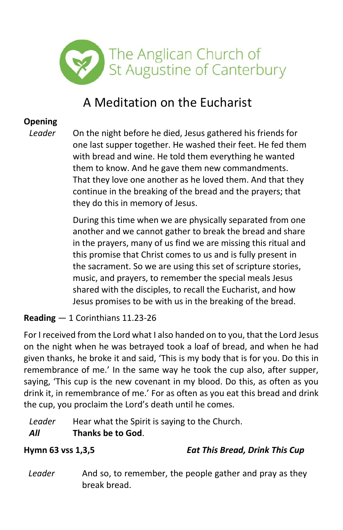

# A Meditation on the Eucharist

#### **Opening**

*Leader* On the night before he died, Jesus gathered his friends for one last supper together. He washed their feet. He fed them with bread and wine. He told them everything he wanted them to know. And he gave them new commandments. That they love one another as he loved them. And that they continue in the breaking of the bread and the prayers; that they do this in memory of Jesus.

> During this time when we are physically separated from one another and we cannot gather to break the bread and share in the prayers, many of us find we are missing this ritual and this promise that Christ comes to us and is fully present in the sacrament. So we are using this set of scripture stories, music, and prayers, to remember the special meals Jesus shared with the disciples, to recall the Eucharist, and how Jesus promises to be with us in the breaking of the bread.

## **Reading** — 1 Corinthians 11.23-26

For I received from the Lord what I also handed on to you, that the Lord Jesus on the night when he was betrayed took a loaf of bread, and when he had given thanks, he broke it and said, 'This is my body that is for you. Do this in remembrance of me.' In the same way he took the cup also, after supper, saying, 'This cup is the new covenant in my blood. Do this, as often as you drink it, in remembrance of me.' For as often as you eat this bread and drink the cup, you proclaim the Lord's death until he comes.

*Leader* Hear what the Spirit is saying to the Church.

*All* **Thanks be to God**.

## **Hymn 63 vss 1,3,5** *Eat This Bread, Drink This Cup*

*Leader* And so, to remember, the people gather and pray as they break bread.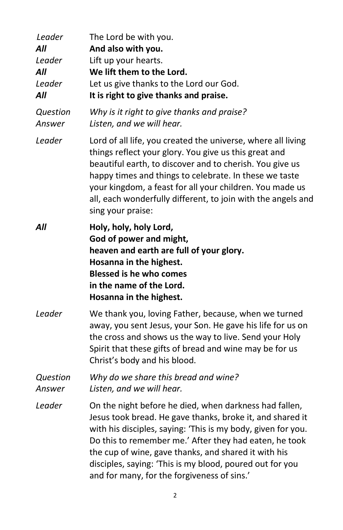| Leader<br>All<br>Leader<br>All<br>Leader<br>All | The Lord be with you.<br>And also with you.<br>Lift up your hearts.<br>We lift them to the Lord.<br>Let us give thanks to the Lord our God.<br>It is right to give thanks and praise.                                                                                                                                                                                                                            |  |
|-------------------------------------------------|------------------------------------------------------------------------------------------------------------------------------------------------------------------------------------------------------------------------------------------------------------------------------------------------------------------------------------------------------------------------------------------------------------------|--|
| Question<br>Answer                              | Why is it right to give thanks and praise?<br>Listen, and we will hear.                                                                                                                                                                                                                                                                                                                                          |  |
| Leader                                          | Lord of all life, you created the universe, where all living<br>things reflect your glory. You give us this great and<br>beautiful earth, to discover and to cherish. You give us<br>happy times and things to celebrate. In these we taste<br>your kingdom, a feast for all your children. You made us<br>all, each wonderfully different, to join with the angels and<br>sing your praise:                     |  |
| All                                             | Holy, holy, holy Lord,<br>God of power and might,<br>heaven and earth are full of your glory.<br>Hosanna in the highest.<br><b>Blessed is he who comes</b><br>in the name of the Lord.<br>Hosanna in the highest.                                                                                                                                                                                                |  |
| Leader                                          | We thank you, loving Father, because, when we turned<br>away, you sent Jesus, your Son. He gave his life for us on<br>the cross and shows us the way to live. Send your Holy<br>Spirit that these gifts of bread and wine may be for us<br>Christ's body and his blood.                                                                                                                                          |  |
| Question<br>Answer                              | Why do we share this bread and wine?<br>Listen, and we will hear.                                                                                                                                                                                                                                                                                                                                                |  |
| Leader                                          | On the night before he died, when darkness had fallen,<br>Jesus took bread. He gave thanks, broke it, and shared it<br>with his disciples, saying: 'This is my body, given for you.<br>Do this to remember me.' After they had eaten, he took<br>the cup of wine, gave thanks, and shared it with his<br>disciples, saying: 'This is my blood, poured out for you<br>and for many, for the forgiveness of sins.' |  |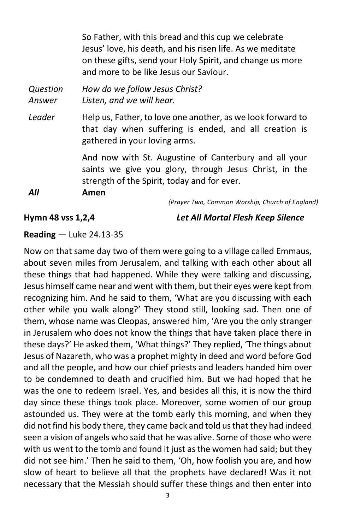|                    | So Father, with this bread and this cup we celebrate<br>Jesus' love, his death, and his risen life. As we meditate<br>on these gifts, send your Holy Spirit, and change us more<br>and more to be like Jesus our Saviour. |
|--------------------|---------------------------------------------------------------------------------------------------------------------------------------------------------------------------------------------------------------------------|
| Question<br>Answer | How do we follow Jesus Christ?<br>Listen, and we will hear.                                                                                                                                                               |
| Leader             | Help us, Father, to love one another, as we look forward to<br>that day when suffering is ended, and all creation is<br>gathered in your loving arms.                                                                     |
| All                | And now with St. Augustine of Canterbury and all your<br>saints we give you glory, through Jesus Christ, in the<br>strength of the Spirit, today and for ever.                                                            |
|                    | Amen<br>(Prayer Two, Common Worship, Church of England)                                                                                                                                                                   |
|                    |                                                                                                                                                                                                                           |

**Hymn 48 vss 1,2,4** *Let All Mortal Flesh Keep Silence*

#### **Reading** — Luke 24.13-35

Now on that same day two of them were going to a village called Emmaus, about seven miles from Jerusalem, and talking with each other about all these things that had happened. While they were talking and discussing, Jesus himself came near and went with them, but their eyes were kept from recognizing him. And he said to them, 'What are you discussing with each other while you walk along?' They stood still, looking sad. Then one of them, whose name was Cleopas, answered him, 'Are you the only stranger in Jerusalem who does not know the things that have taken place there in these days?' He asked them, 'What things?' They replied, 'The things about Jesus of Nazareth, who was a prophet mighty in deed and word before God and all the people, and how our chief priests and leaders handed him over to be condemned to death and crucified him. But we had hoped that he was the one to redeem Israel. Yes, and besides all this, it is now the third day since these things took place. Moreover, some women of our group astounded us. They were at the tomb early this morning, and when they did not find his body there, they came back and told us that they had indeed seen a vision of angels who said that he was alive. Some of those who were with us went to the tomb and found it just as the women had said; but they did not see him.' Then he said to them, 'Oh, how foolish you are, and how slow of heart to believe all that the prophets have declared! Was it not necessary that the Messiah should suffer these things and then enter into